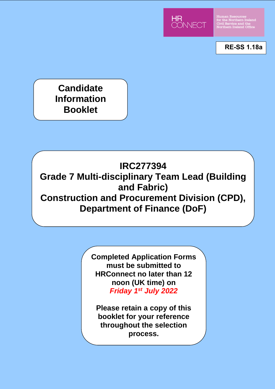

Human Resources<br>for the Northern Ireland<br>Civil Service and the<br>Northern Ireland Office

**RE-SS 1.18a**

**Candidate Information Booklet**

# **IRC277394**

**Grade 7 Multi-disciplinary Team Lead (Building and Fabric) Construction and Procurement Division (CPD), Department of Finance (DoF)**

> **Completed Application Forms must be submitted to HRConnect no later than 12 noon (UK time) on**  *Friday 1st July 2022*

**Please retain a copy of this booklet for your reference throughout the selection process.**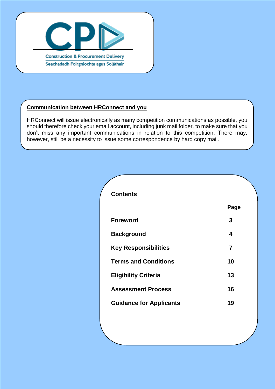

# **Communication between HRConnect and you**

HRConnect will issue electronically as many competition communications as possible, you should therefore check your email account, including junk mail folder, to make sure that you don't miss any important communications in relation to this competition. There may, however, still be a necessity to issue some correspondence by hard copy mail.

| <b>Contents</b>                |                |
|--------------------------------|----------------|
|                                | Page           |
| <b>Foreword</b>                | 3              |
| <b>Background</b>              | 4              |
| <b>Key Responsibilities</b>    | $\overline{7}$ |
| <b>Terms and Conditions</b>    | 10             |
| <b>Eligibility Criteria</b>    | 13             |
| <b>Assessment Process</b>      | 16             |
| <b>Guidance for Applicants</b> | 19             |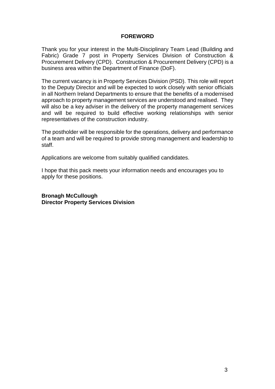#### **FOREWORD**

Thank you for your interest in the Multi-Disciplinary Team Lead (Building and Fabric) Grade 7 post in Property Services Division of Construction & Procurement Delivery (CPD). Construction & Procurement Delivery (CPD) is a business area within the Department of Finance (DoF).

The current vacancy is in Property Services Division (PSD). This role will report to the Deputy Director and will be expected to work closely with senior officials in all Northern Ireland Departments to ensure that the benefits of a modernised approach to property management services are understood and realised. They will also be a key adviser in the delivery of the property management services and will be required to build effective working relationships with senior representatives of the construction industry.

The postholder will be responsible for the operations, delivery and performance of a team and will be required to provide strong management and leadership to staff.

Applications are welcome from suitably qualified candidates.

I hope that this pack meets your information needs and encourages you to apply for these positions.

**Bronagh McCullough Director Property Services Division**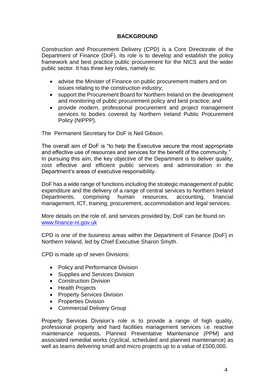# **BACKGROUND**

Construction and Procurement Delivery (CPD) is a Core Directorate of the Department of Finance (DoF). Its role is to develop and establish the policy framework and best practice public procurement for the NICS and the wider public sector. It has three key roles, namely to:

- advise the Minister of Finance on public procurement matters and on issues relating to the construction industry;
- support the Procurement Board for Northern Ireland on the development and monitoring of public procurement policy and best practice; and
- provide modern, professional procurement and project management services to bodies covered by Northern Ireland Public Procurement Policy (NIPPP).

The Permanent Secretary for DoF is Neil Gibson.

The overall aim of DoF is "to help the Executive secure the most appropriate and effective use of resources and services for the benefit of the community." In pursuing this aim, the key objective of the Department is to deliver quality, cost effective and efficient public services and administration in the Department's areas of executive responsibility.

DoF has a wide range of functions including the strategic management of public expenditure and the delivery of a range of central services to Northern Ireland Departments, comprising human resources, accounting, financial management, ICT, training, procurement, accommodation and legal services.

More details on the role of, and services provided by, DoF can be found on [www.finance-ni.gov.uk](http://www.finance-ni.gov.uk/)

CPD is one of the business areas within the Department of Finance (DoF) in Northern Ireland, led by Chief Executive Sharon Smyth.

CPD is made up of seven Divisions:

- Policy and Performance Division
- Supplies and Services Division
- Construction Division
- Health Projects
- Property Services Division
- Properties Division
- Commercial Delivery Group

Property Services Division's role is to provide a range of high quality, professional property and hard facilities management services i.e. reactive maintenance requests, Planned Preventative Maintenance (PPM) and associated remedial works (cyclical, scheduled and planned maintenance) as well as teams delivering small and micro projects up to a value of £500,000.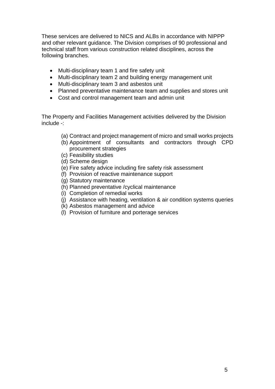These services are delivered to NICS and ALBs in accordance with NIPPP and other relevant guidance. The Division comprises of 90 professional and technical staff from various construction related disciplines, across the following branches.

- Multi-disciplinary team 1 and fire safety unit
- Multi-disciplinary team 2 and building energy management unit
- Multi-disciplinary team 3 and asbestos unit
- Planned preventative maintenance team and supplies and stores unit
- Cost and control management team and admin unit

The Property and Facilities Management activities delivered by the Division include -:

- (a) Contract and project management of micro and small works projects
- (b) Appointment of consultants and contractors through CPD procurement strategies
- (c) Feasibility studies
- (d) Scheme design
- (e) Fire safety advice including fire safety risk assessment
- (f) Provision of reactive maintenance support
- (g) Statutory maintenance
- (h) Planned preventative /cyclical maintenance
- (i) Completion of remedial works
- (j) Assistance with heating, ventilation & air condition systems queries
- (k) Asbestos management and advice
- (l) Provision of furniture and porterage services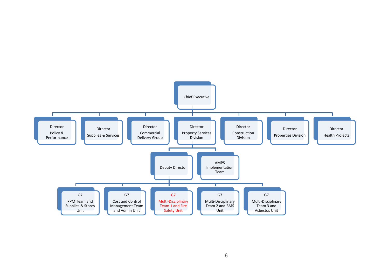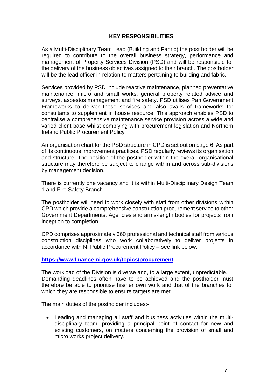# **KEY RESPONSIBILITIES**

As a Multi-Disciplinary Team Lead (Building and Fabric) the post holder will be required to contribute to the overall business strategy, performance and management of Property Services Division (PSD) and will be responsible for the delivery of the business objectives assigned to their branch. The postholder will be the lead officer in relation to matters pertaining to building and fabric.

Services provided by PSD include reactive maintenance, planned preventative maintenance, micro and small works, general property related advice and surveys, asbestos management and fire safety. PSD utilises Pan Government Frameworks to deliver these services and also avails of frameworks for consultants to supplement in house resource. This approach enables PSD to centralise a comprehensive maintenance service provision across a wide and varied client base whilst complying with procurement legislation and Northern Ireland Public Procurement Policy

An organisation chart for the PSD structure in CPD is set out on page 6. As part of its continuous improvement practices, PSD regularly reviews its organisation and structure. The position of the postholder within the overall organisational structure may therefore be subject to change within and across sub-divisions by management decision.

There is currently one vacancy and it is within Multi-Disciplinary Design Team 1 and Fire Safety Branch.

The postholder will need to work closely with staff from other divisions within CPD which provide a comprehensive construction procurement service to other Government Departments, Agencies and arms-length bodies for projects from inception to completion.

CPD comprises approximately 360 professional and technical staff from various construction disciplines who work collaboratively to deliver projects in accordance with NI Public Procurement Policy – see link below.

#### **<https://www.finance-ni.gov.uk/topics/procurement>**

The workload of the Division is diverse and, to a large extent, unpredictable. Demanding deadlines often have to be achieved and the postholder must therefore be able to prioritise his/her own work and that of the branches for which they are responsible to ensure targets are met.

The main duties of the postholder includes:-

 Leading and managing all staff and business activities within the multidisciplinary team, providing a principal point of contact for new and existing customers, on matters concerning the provision of small and micro works project delivery.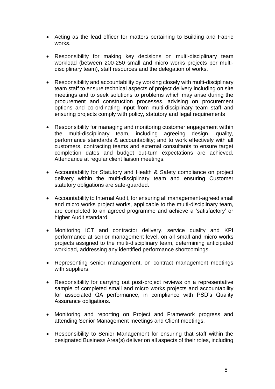- Acting as the lead officer for matters pertaining to Building and Fabric works.
- Responsibility for making key decisions on multi-disciplinary team workload (between 200-250 small and micro works projects per multidisciplinary team), staff resources and the delegation of works.
- Responsibility and accountability by working closely with multi-disciplinary team staff to ensure technical aspects of project delivery including on site meetings and to seek solutions to problems which may arise during the procurement and construction processes, advising on procurement options and co-ordinating input from multi-disciplinary team staff and ensuring projects comply with policy, statutory and legal requirements
- Responsibility for managing and monitoring customer engagement within the multi-disciplinary team, including agreeing design, quality, performance standards & accountability; and to work effectively with all customers, contracting teams and external consultants to ensure target completion dates and budget out-turn expectations are achieved. Attendance at regular client liaison meetings.
- Accountability for Statutory and Health & Safety compliance on project delivery within the multi-disciplinary team and ensuring Customer statutory obligations are safe-guarded.
- Accountability to Internal Audit, for ensuring all management-agreed small and micro works project works, applicable to the multi-disciplinary team, are completed to an agreed programme and achieve a 'satisfactory' or higher Audit standard.
- Monitoring ICT and contractor delivery, service quality and KPI performance at senior management level, on all small and micro works projects assigned to the multi-disciplinary team, determining anticipated workload, addressing any identified performance shortcomings.
- Representing senior management, on contract management meetings with suppliers.
- Responsibility for carrying out post-project reviews on a representative sample of completed small and micro works projects and accountability for associated QA performance, in compliance with PSD's Quality Assurance obligations.
- Monitoring and reporting on Project and Framework progress and attending Senior Management meetings and Client meetings.
- Responsibility to Senior Management for ensuring that staff within the designated Business Area(s) deliver on all aspects of their roles, including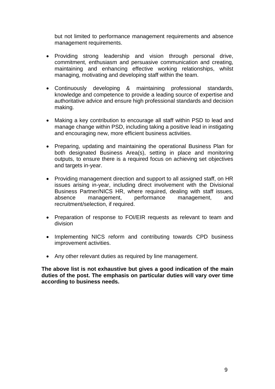but not limited to performance management requirements and absence management requirements.

- Providing strong leadership and vision through personal drive, commitment, enthusiasm and persuasive communication and creating, maintaining and enhancing effective working relationships, whilst managing, motivating and developing staff within the team.
- Continuously developing & maintaining professional standards, knowledge and competence to provide a leading source of expertise and authoritative advice and ensure high professional standards and decision making.
- Making a key contribution to encourage all staff within PSD to lead and manage change within PSD, including taking a positive lead in instigating and encouraging new, more efficient business activities.
- Preparing, updating and maintaining the operational Business Plan for both designated Business Area(s), setting in place and monitoring outputs, to ensure there is a required focus on achieving set objectives and targets in-year.
- Providing management direction and support to all assigned staff, on HR issues arising in-year, including direct involvement with the Divisional Business Partner/NICS HR, where required, dealing with staff issues, absence management, performance management, and recruitment/selection, if required.
- Preparation of response to FOI/EIR requests as relevant to team and division
- Implementing NICS reform and contributing towards CPD business improvement activities.
- Any other relevant duties as required by line management.

**The above list is not exhaustive but gives a good indication of the main duties of the post. The emphasis on particular duties will vary over time according to business needs.**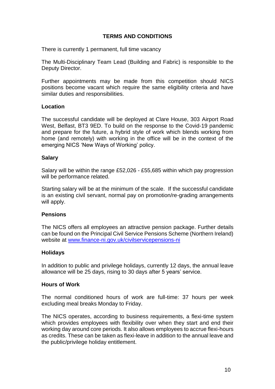# **TERMS AND CONDITIONS**

There is currently 1 permanent, full time vacancy

The Multi-Disciplinary Team Lead (Building and Fabric) is responsible to the Deputy Director.

Further appointments may be made from this competition should NICS positions become vacant which require the same eligibility criteria and have similar duties and responsibilities.

#### **Location**

The successful candidate will be deployed at Clare House, 303 Airport Road West, Belfast, BT3 9ED. To build on the response to the Covid-19 pandemic and prepare for the future, a hybrid style of work which blends working from home (and remotely) with working in the office will be in the context of the emerging NICS 'New Ways of Working' policy.

#### **Salary**

Salary will be within the range £52,026 - £55,685 within which pay progression will be performance related.

Starting salary will be at the minimum of the scale. If the successful candidate is an existing civil servant, normal pay on promotion/re-grading arrangements will apply.

# **Pensions**

The NICS offers all employees an attractive pension package. Further details can be found on the Principal Civil Service Pensions Scheme (Northern Ireland) website at [www.finance-ni.gov.uk/civilservicepensions-ni](http://www.finance-ni.gov.uk/civilservicepensions-ni) 

# **Holidays**

In addition to public and privilege holidays, currently 12 days, the annual leave allowance will be 25 days, rising to 30 days after 5 years' service.

#### **Hours of Work**

The normal conditioned hours of work are full-time: 37 hours per week excluding meal breaks Monday to Friday.

The NICS operates, according to business requirements, a flexi-time system which provides employees with flexibility over when they start and end their working day around core periods. It also allows employees to accrue flexi-hours as credits. These can be taken as flexi-leave in addition to the annual leave and the public/privilege holiday entitlement.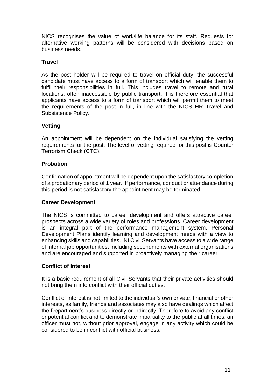NICS recognises the value of work/life balance for its staff. Requests for alternative working patterns will be considered with decisions based on business needs.

# **Travel**

As the post holder will be required to travel on official duty, the successful candidate must have access to a form of transport which will enable them to fulfil their responsibilities in full. This includes travel to remote and rural locations, often inaccessible by public transport. It is therefore essential that applicants have access to a form of transport which will permit them to meet the requirements of the post in full, in line with the NICS HR Travel and Subsistence Policy.

# **Vetting**

An appointment will be dependent on the individual satisfying the vetting requirements for the post. The level of vetting required for this post is Counter Terrorism Check (CTC).

# **Probation**

Confirmation of appointment will be dependent upon the satisfactory completion of a probationary period of 1 year. If performance, conduct or attendance during this period is not satisfactory the appointment may be terminated.

# **Career Development**

The NICS is committed to career development and offers attractive career prospects across a wide variety of roles and professions. Career development is an integral part of the performance management system. Personal Development Plans identify learning and development needs with a view to enhancing skills and capabilities. NI Civil Servants have access to a wide range of internal job opportunities, including secondments with external organisations and are encouraged and supported in proactively managing their career.

# **Conflict of Interest**

It is a basic requirement of all Civil Servants that their private activities should not bring them into conflict with their official duties.

Conflict of Interest is not limited to the individual's own private, financial or other interests, as family, friends and associates may also have dealings which affect the Department's business directly or indirectly. Therefore to avoid any conflict or potential conflict and to demonstrate impartiality to the public at all times, an officer must not, without prior approval, engage in any activity which could be considered to be in conflict with official business.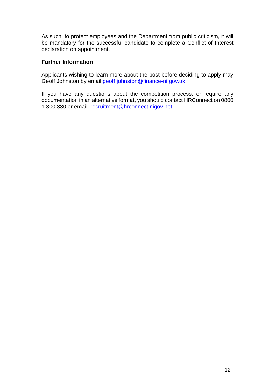As such, to protect employees and the Department from public criticism, it will be mandatory for the successful candidate to complete a Conflict of Interest declaration on appointment.

# **Further Information**

Applicants wishing to learn more about the post before deciding to apply may Geoff Johnston by email [geoff.johnston@finance-ni.gov.uk](mailto:geoff.johnston@finance-ni.gov.uk)

If you have any questions about the competition process, or require any documentation in an alternative format, you should contact HRConnect on 0800 1 300 330 or email: [recruitment@hrconnect.nigov.net](mailto:recruitment@hrconnect.nigov.net)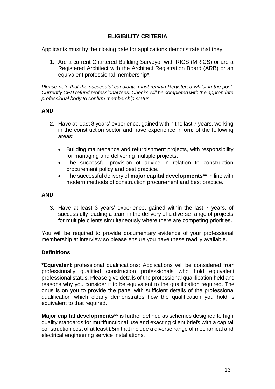# **ELIGIBILITY CRITERIA**

Applicants must by the closing date for applications demonstrate that they:

1. Are a current Chartered Building Surveyor with RICS (MRICS) or are a Registered Architect with the Architect Registration Board (ARB) or an equivalent professional membership\*.

*Please note that the successful candidate must remain Registered whilst in the post. Currently CPD refund professional fees. Checks will be completed with the appropriate professional body to confirm membership status.*

# **AND**

- 2. Have at least 3 years' experience, gained within the last 7 years, working in the construction sector and have experience in **one** of the following areas:
	- Building maintenance and refurbishment projects, with responsibility for managing and delivering multiple projects.
	- The successful provision of advice in relation to construction procurement policy and best practice.
	- The successful delivery of **major capital developments\*\*** in line with modern methods of construction procurement and best practice.

#### **AND**

3. Have at least 3 years' experience, gained within the last 7 years, of successfully leading a team in the delivery of a diverse range of projects for multiple clients simultaneously where there are competing priorities.

You will be required to provide documentary evidence of your professional membership at interview so please ensure you have these readily available.

# **Definitions**

**\*Equivalent** professional qualifications: Applications will be considered from professionally qualified construction professionals who hold equivalent professional status. Please give details of the professional qualification held and reasons why you consider it to be equivalent to the qualification required. The onus is on you to provide the panel with sufficient details of the professional qualification which clearly demonstrates how the qualification you hold is equivalent to that required.

**Major capital developments**\*\* is further defined as schemes designed to high quality standards for multifunctional use and exacting client briefs with a capital construction cost of at least £5m that include a diverse range of mechanical and electrical engineering service installations.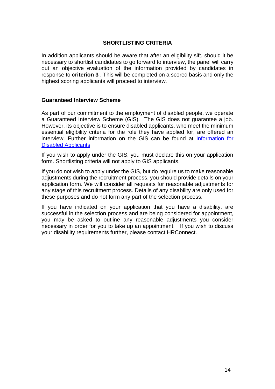# **SHORTLISTING CRITERIA**

In addition applicants should be aware that after an eligibility sift, should it be necessary to shortlist candidates to go forward to interview, the panel will carry out an objective evaluation of the information provided by candidates in response to **criterion 3** . This will be completed on a scored basis and only the highest scoring applicants will proceed to interview.

#### **Guaranteed Interview Scheme**

As part of our commitment to the employment of disabled people, we operate a Guaranteed Interview Scheme (GIS). The GIS does not guarantee a job. However, its objective is to ensure disabled applicants, who meet the minimum essential eligibility criteria for the role they have applied for, are offered an interview. Further information on the GIS can be found at [Information for](https://irecruit-ext.hrconnect.nigov.net/pages/content.aspx?Page=Information-for-Disabled-Applicants-)  [Disabled Applicants](https://irecruit-ext.hrconnect.nigov.net/pages/content.aspx?Page=Information-for-Disabled-Applicants-)

If you wish to apply under the GIS, you must declare this on your application form. Shortlisting criteria will not apply to GIS applicants.

If you do not wish to apply under the GIS, but do require us to make reasonable adjustments during the recruitment process, you should provide details on your application form. We will consider all requests for reasonable adjustments for any stage of this recruitment process. Details of any disability are only used for these purposes and do not form any part of the selection process.

If you have indicated on your application that you have a disability, are successful in the selection process and are being considered for appointment, you may be asked to outline any reasonable adjustments you consider necessary in order for you to take up an appointment. If you wish to discuss your disability requirements further, please contact HRConnect.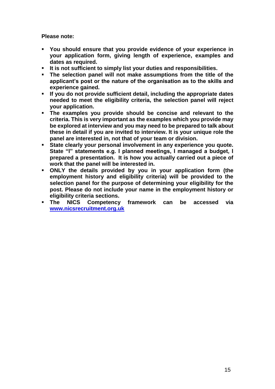**Please note:**

- **You should ensure that you provide evidence of your experience in your application form, giving length of experience, examples and dates as required.**
- **It is not sufficient to simply list your duties and responsibilities.**
- **The selection panel will not make assumptions from the title of the applicant's post or the nature of the organisation as to the skills and experience gained.**
- **If you do not provide sufficient detail, including the appropriate dates needed to meet the eligibility criteria, the selection panel will reject your application.**
- **The examples you provide should be concise and relevant to the criteria. This is very important as the examples which you provide may be explored at interview and you may need to be prepared to talk about these in detail if you are invited to interview. It is your unique role the panel are interested in, not that of your team or division.**
- **State clearly your personal involvement in any experience you quote. State "I" statements e.g. I planned meetings, I managed a budget, I prepared a presentation. It is how you actually carried out a piece of work that the panel will be interested in.**
- **ONLY the details provided by you in your application form (the employment history and eligibility criteria) will be provided to the selection panel for the purpose of determining your eligibility for the post. Please do not include your name in the employment history or eligibility criteria sections.**
- **The NICS Competency framework can be accessed via [www.nicsrecruitment.org.uk](http://www.nicsrecruitment.gov.uk/)**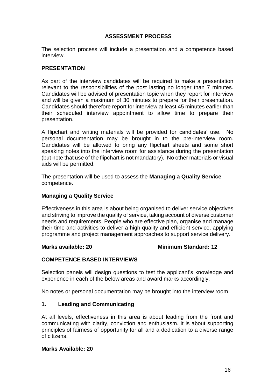# **ASSESSMENT PROCESS**

The selection process will include a presentation and a competence based interview.

# **PRESENTATION**

As part of the interview candidates will be required to make a presentation relevant to the responsibilities of the post lasting no longer than 7 minutes. Candidates will be advised of presentation topic when they report for interview and will be given a maximum of 30 minutes to prepare for their presentation. Candidates should therefore report for interview at least 45 minutes earlier than their scheduled interview appointment to allow time to prepare their presentation.

A flipchart and writing materials will be provided for candidates' use. No personal documentation may be brought in to the pre-interview room. Candidates will be allowed to bring any flipchart sheets and some short speaking notes into the interview room for assistance during the presentation (but note that use of the flipchart is not mandatory). No other materials or visual aids will be permitted.

The presentation will be used to assess the **Managing a Quality Service**  competence.

# **Managing a Quality Service**

Effectiveness in this area is about being organised to deliver service objectives and striving to improve the quality of service, taking account of diverse customer needs and requirements. People who are effective plan, organise and manage their time and activities to deliver a high quality and efficient service, applying programme and project management approaches to support service delivery.

# **Marks available: 20 Minimum Standard: 12**

# **COMPETENCE BASED INTERVIEWS**

Selection panels will design questions to test the applicant's knowledge and experience in each of the below areas and award marks accordingly.

No notes or personal documentation may be brought into the interview room.

# **1. Leading and Communicating**

At all levels, effectiveness in this area is about leading from the front and communicating with clarity, conviction and enthusiasm. It is about supporting principles of fairness of opportunity for all and a dedication to a diverse range of citizens.

#### **Marks Available: 20**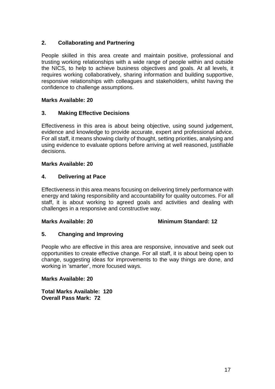# **2. Collaborating and Partnering**

People skilled in this area create and maintain positive, professional and trusting working relationships with a wide range of people within and outside the NICS, to help to achieve business objectives and goals. At all levels, it requires working collaboratively, sharing information and building supportive, responsive relationships with colleagues and stakeholders, whilst having the confidence to challenge assumptions.

# **Marks Available: 20**

# **3. Making Effective Decisions**

Effectiveness in this area is about being objective, using sound judgement, evidence and knowledge to provide accurate, expert and professional advice. For all staff, it means showing clarity of thought, setting priorities, analysing and using evidence to evaluate options before arriving at well reasoned, justifiable decisions.

# **Marks Available: 20**

# **4. Delivering at Pace**

Effectiveness in this area means focusing on delivering timely performance with energy and taking responsibility and accountability for quality outcomes. For all staff, it is about working to agreed goals and activities and dealing with challenges in a responsive and constructive way.

# **Marks Available: 20 Minimum Standard: 12**

# **5. Changing and Improving**

People who are effective in this area are responsive, innovative and seek out opportunities to create effective change. For all staff, it is about being open to change, suggesting ideas for improvements to the way things are done, and working in 'smarter', more focused ways.

# **Marks Available: 20**

**Total Marks Available: 120 Overall Pass Mark: 72**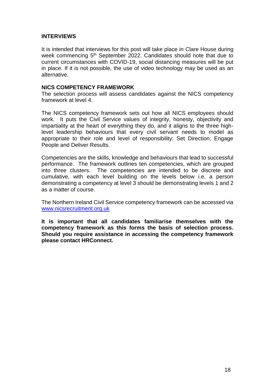# **INTERVIEWS**

It is intended that interviews for this post will take place in Clare House during week commencing 5<sup>th</sup> September 2022. Candidates should note that due to current circumstances with COVID-19, social distancing measures will be put in place. If it is not possible, the use of video technology may be used as an alternative.

#### **NICS COMPETENCY FRAMEWORK**

The selection process will assess candidates against the NICS competency framework at level 4.

The NICS competency framework sets out how all NICS employees should work. It puts the Civil Service values of integrity, honesty, objectivity and impartiality at the heart of everything they do, and it aligns to the three highlevel leadership behaviours that every civil servant needs to model as appropriate to their role and level of responsibility: Set Direction; Engage People and Deliver Results.

Competencies are the skills, knowledge and behaviours that lead to successful performance. The framework outlines ten competencies, which are grouped into three clusters. The competencies are intended to be discrete and cumulative, with each level building on the levels below i.e. a person demonstrating a competency at level 3 should be demonstrating levels 1 and 2 as a matter of course.

The Northern Ireland Civil Service competency framework can be accessed via [www.nicsrecruitment.org.uk](http://www.nicsrecruitment.gov.uk/)

**It is important that all candidates familiarise themselves with the competency framework as this forms the basis of selection process. Should you require assistance in accessing the competency framework please contact HRConnect.**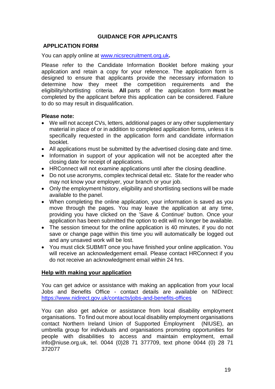# **GUIDANCE FOR APPLICANTS**

# **APPLICATION FORM**

You can apply online at [www.nicsrecruitment.org.uk](http://www.nicsrecruitment.org.uk/)**.**

Please refer to the Candidate Information Booklet before making your application and retain a copy for your reference. The application form is designed to ensure that applicants provide the necessary information to determine how they meet the competition requirements and the eligibility/shortlisting criteria. **All** parts of the application form **must** be completed by the applicant before this application can be considered. Failure to do so may result in disqualification.

#### **Please note:**

- We will not accept CVs, letters, additional pages or any other supplementary material in place of or in addition to completed application forms, unless it is specifically requested in the application form and candidate information booklet.
- All applications must be submitted by the advertised closing date and time.
- Information in support of your application will not be accepted after the closing date for receipt of applications.
- HRConnect will not examine applications until after the closing deadline.
- Do not use acronyms, complex technical detail etc. State for the reader who may not know your employer, your branch or your job.
- Only the employment history, eligibility and shortlisting sections will be made available to the panel.
- When completing the online application, your information is saved as you move through the pages. You may leave the application at any time, providing you have clicked on the 'Save & Continue' button. Once your application has been submitted the option to edit will no longer be available.
- The session timeout for the online application is 40 minutes, if you do not save or change page within this time you will automatically be logged out and any unsaved work will be lost.
- You must click SUBMIT once you have finished your online application. You will receive an acknowledgement email. Please contact HRConnect if you do not receive an acknowledgment email within 24 hrs.

#### **Help with making your application**

You can get advice or assistance with making an application from your local Jobs and Benefits Office - contact details are available on NIDirect: <https://www.nidirect.gov.uk/contacts/jobs-and-benefits-offices>

You can also get advice or assistance from local disability employment organisations. To find out more about local disability employment organisations contact Northern Ireland Union of Supported Employment (NIUSE), an umbrella group for individuals and organisations promoting opportunities for people with disabilities to access and maintain employment, email info@niuse.org.uk, tel. 0044 (0)28 71 377709, text phone 0044 (0) 28 71 372077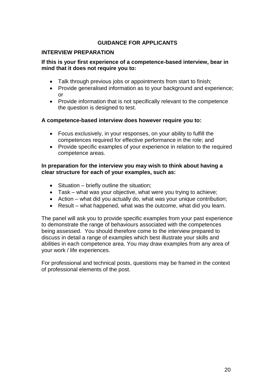# **GUIDANCE FOR APPLICANTS**

# **INTERVIEW PREPARATION**

# **If this is your first experience of a competence-based interview, bear in mind that it does not require you to:**

- Talk through previous jobs or appointments from start to finish;
- Provide generalised information as to your background and experience; or
- Provide information that is not specifically relevant to the competence the question is designed to test.

#### **A competence-based interview does however require you to:**

- Focus exclusively, in your responses, on your ability to fulfill the competences required for effective performance in the role; and
- Provide specific examples of your experience in relation to the required competence areas.

# **In preparation for the interview you may wish to think about having a clear structure for each of your examples, such as:**

- Situation briefly outline the situation;
- Task what was your objective, what were you trying to achieve;
- Action what did you actually do, what was your unique contribution;
- Result what happened, what was the outcome, what did you learn.

The panel will ask you to provide specific examples from your past experience to demonstrate the range of behaviours associated with the competences being assessed. You should therefore come to the interview prepared to discuss in detail a range of examples which best illustrate your skills and abilities in each competence area. You may draw examples from any area of your work / life experiences.

For professional and technical posts, questions may be framed in the context of professional elements of the post.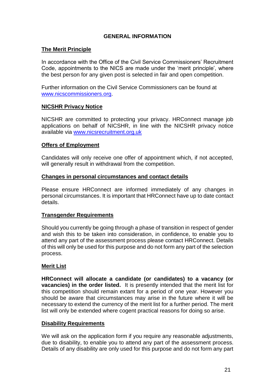# **GENERAL INFORMATION**

#### **The Merit Principle**

In accordance with the Office of the Civil Service Commissioners' Recruitment Code, appointments to the NICS are made under the 'merit principle', where the best person for any given post is selected in fair and open competition.

Further information on the Civil Service Commissioners can be found at [www.nicscommissioners.org.](http://www.nicscommissioners.org/)

# **NICSHR Privacy Notice**

NICSHR are committed to protecting your privacy. HRConnect manage job applications on behalf of NICSHR, in line with the NICSHR privacy notice available via [www.nicsrecruitment.org.uk](https://www.finance-ni.gov.uk/publications/nics-hr-privacy-notice)

# **Offers of Employment**

Candidates will only receive one offer of appointment which, if not accepted, will generally result in withdrawal from the competition.

# **Changes in personal circumstances and contact details**

Please ensure HRConnect are informed immediately of any changes in personal circumstances. It is important that HRConnect have up to date contact details.

# **Transgender Requirements**

Should you currently be going through a phase of transition in respect of gender and wish this to be taken into consideration, in confidence, to enable you to attend any part of the assessment process please contact HRConnect. Details of this will only be used for this purpose and do not form any part of the selection process.

# **Merit List**

**HRConnect will allocate a candidate (or candidates) to a vacancy (or vacancies) in the order listed.** It is presently intended that the merit list for this competition should remain extant for a period of one year. However you should be aware that circumstances may arise in the future where it will be necessary to extend the currency of the merit list for a further period. The merit list will only be extended where cogent practical reasons for doing so arise.

# **Disability Requirements**

We will ask on the application form if you require any reasonable adjustments, due to disability, to enable you to attend any part of the assessment process. Details of any disability are only used for this purpose and do not form any part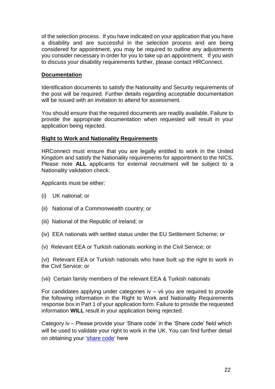of the selection process. If you have indicated on your application that you have a disability and are successful in the selection process and are being considered for appointment, you may be required to outline any adjustments you consider necessary in order for you to take up an appointment. If you wish to discuss your disability requirements further, please contact HRConnect.

# **Documentation**

Identification documents to satisfy the Nationality and Security requirements of the post will be required. Further details regarding acceptable documentation will be issued with an invitation to attend for assessment.

You should ensure that the required documents are readily available. Failure to provide the appropriate documentation when requested will result in your application being rejected.

# **Right to Work and Nationality Requirements**

HRConnect must ensure that you are legally entitled to work in the United Kingdom and satisfy the Nationality requirements for appointment to the NICS. Please note **ALL** applicants for external recruitment will be subject to a Nationality validation check.

Applicants must be either:

- (i) UK national; or
- (ii) National of a Commonwealth country; or
- (iii) National of the Republic of Ireland; or
- (iv) EEA nationals with settled status under the EU Settlement Scheme; or
- (v) Relevant EEA or Turkish nationals working in the Civil Service; or

(vi) Relevant EEA or Turkish nationals who have built up the right to work in the Civil Service; or

(vii) Certain family members of the relevant EEA & Turkish nationals

For candidates applying under categories iv – vii you are required to provide the following information in the Right to Work and Nationality Requirements response box in Part 1 of your application form. Failure to provide the requested information **WILL** result in your application being rejected.

Category iv – Please provide your 'Share code' in the 'Share code' field which will be used to validate your right to work in the UK. You can find further detail on obtaining your ['share code'](https://www.gov.uk/view-prove-immigration-status) here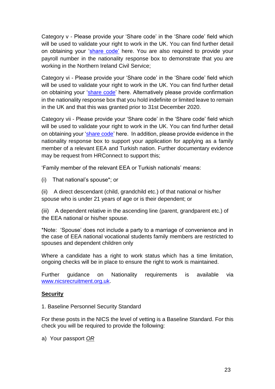Category v - Please provide your 'Share code' in the 'Share code' field which will be used to validate your right to work in the UK. You can find further detail on obtaining your ['share code'](https://www.gov.uk/view-prove-immigration-status) here. You are also required to provide your payroll number in the nationality response box to demonstrate that you are working in the Northern Ireland Civil Service;

Category vi - Please provide your 'Share code' in the 'Share code' field which will be used to validate your right to work in the UK. You can find further detail on obtaining your ['share code'](https://www.gov.uk/view-prove-immigration-status) here. Alternatively please provide confirmation in the nationality response box that you hold indefinite or limited leave to remain in the UK and that this was granted prior to 31st December 2020.

Category vii - Please provide your 'Share code' in the 'Share code' field which will be used to validate your right to work in the UK. You can find further detail on obtaining your ['share code'](https://www.gov.uk/view-prove-immigration-status) here. In addition, please provide evidence in the nationality response box to support your application for applying as a family member of a relevant EEA and Turkish nation. Further documentary evidence may be request from HRConnect to support this;

'Family member of the relevant EEA or Turkish nationals' means:

(i) That national's spouse\*; or

(ii) A direct descendant (child, grandchild etc.) of that national or his/her spouse who is under 21 years of age or is their dependent; or

(iii) A dependent relative in the ascending line (parent, grandparent etc.) of the EEA national or his/her spouse.

\*Note: 'Spouse' does not include a party to a marriage of convenience and in the case of EEA national vocational students family members are restricted to spouses and dependent children only

Where a candidate has a right to work status which has a time limitation, ongoing checks will be in place to ensure the right to work is maintained.

Further guidance on Nationality requirements is available via [www.nicsrecruitment.org.uk.](https://irecruit-ext.hrconnect.nigov.net/pages/content.aspx?Page=how-do-i-apply/useful-information/nationality-guidance)

# **Security**

1. Baseline Personnel Security Standard

For these posts in the NICS the level of vetting is a Baseline Standard. For this check you will be required to provide the following:

a) Your passport *OR*